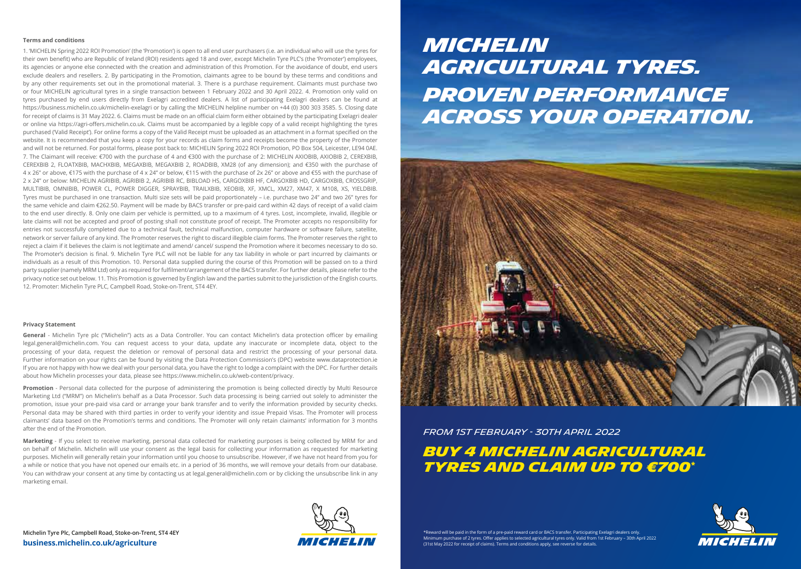#### **Terms and conditions**

1. 'MICHELIN Spring 2022 ROI Promotion' (the 'Promotion') is open to all end user purchasers (i.e. an individual who will use the tyres for their own benefit) who are Republic of Ireland (ROI) residents aged 18 and over, except Michelin Tyre PLC's (the 'Promoter') employees, its agencies or anyone else connected with the creation and administration of this Promotion. For the avoidance of doubt, end users exclude dealers and resellers. 2. By participating in the Promotion, claimants agree to be bound by these terms and conditions and by any other requirements set out in the promotional material. 3. There is a purchase requirement. Claimants must purchase two or four MICHELIN agricultural tyres in a single transaction between 1 February 2022 and 30 April 2022. 4. Promotion only valid on tyres purchased by end users directly from Exelagri accredited dealers. A list of participating Exelagri dealers can be found at https://business.michelin.co.uk/michelin-exelagri or by calling the MICHELIN helpline number on +44 (0) 300 303 3585. 5. Closing date for receipt of claims is 31 May 2022. 6. Claims must be made on an official claim form either obtained by the participating Exelagri dealer or online via https://agri-offers.michelin.co.uk. Claims must be accompanied by a legible copy of a valid receipt highlighting the tyres purchased ('Valid Receipt'). For online forms a copy of the Valid Receipt must be uploaded as an attachment in a format specified on the website. It is recommended that you keep a copy for your records as claim forms and receipts become the property of the Promoter and will not be returned. For postal forms, please post back to: MICHELIN Spring 2022 ROI Promotion, PO Box 504, Leicester, LE94 0AE. 7. The Claimant will receive: €700 with the purchase of 4 and €300 with the purchase of 2: MICHELIN AXIOBIB, AXIOBIB 2, CEREXBIB, CEREXBIB 2, FLOATXBIB, MACHXBIB, MEGAXBIB, MEGAXBIB 2, ROADBIB, XM28 (of any dimension); and €350 with the purchase of 4 x 26" or above, €175 with the purchase of 4 x 24" or below, €115 with the purchase of 2x 26" or above and €55 with the purchase of 2 x 24" or below: MICHELIN AGRIBIB, AGRIBIB 2, AGRIBIB RC, BIBLOAD HS, CARGOXBIB HF, CARGOXBIB HD, CARGOXBIB, CROSSGRIP, MULTIBIB, OMNIBIB, POWER CL, POWER DIGGER, SPRAYBIB, TRAILXBIB, XEOBIB, XF, XMCL, XM27, XM47, X M108, XS, YIELDBIB. Tyres must be purchased in one transaction. Multi size sets will be paid proportionately – i.e. purchase two 24" and two 26" tyres for the same vehicle and claim €262.50. Payment will be made by BACS transfer or pre-paid card within 42 days of receipt of a valid claim to the end user directly. 8. Only one claim per vehicle is permitted, up to a maximum of 4 tyres. Lost, incomplete, invalid, illegible or late claims will not be accepted and proof of posting shall not constitute proof of receipt. The Promoter accepts no responsibility for entries not successfully completed due to a technical fault, technical malfunction, computer hardware or software failure, satellite, network or server failure of any kind. The Promoter reserves the right to discard illegible claim forms. The Promoter reserves the right to reject a claim if it believes the claim is not legitimate and amend/ cancel/ suspend the Promotion where it becomes necessary to do so. The Promoter's decision is final. 9. Michelin Tyre PLC will not be liable for any tax liability in whole or part incurred by claimants or individuals as a result of this Promotion. 10. Personal data supplied during the course of this Promotion will be passed on to a third party supplier (namely MRM Ltd) only as required for fulfilment/arrangement of the BACS transfer. For further details, please refer to the privacy notice set out below. 11. This Promotion is governed by English law and the parties submit to the jurisdiction of the English courts. 12. Promoter: Michelin Tyre PLC, Campbell Road, Stoke-on-Trent, ST4 4EY.

#### **Privacy Statement**

**General** - Michelin Tyre plc ("Michelin") acts as a Data Controller. You can contact Michelin's data protection officer by emailing legal.general@michelin.com. You can request access to your data, update any inaccurate or incomplete data, object to the processing of your data, request the deletion or removal of personal data and restrict the processing of your personal data. Further information on your rights can be found by visiting the Data Protection Commission's (DPC) website www.dataprotection.ie If you are not happy with how we deal with your personal data, you have the right to lodge a complaint with the DPC. For further details about how Michelin processes your data, please see https://www.michelin.co.uk/web-content/privacy.

Promotion - Personal data collected for the purpose of administering the promotion is being collected directly by Multi Resource Marketing Ltd ("MRM") on Michelin's behalf as a Data Processor. Such data processing is being carried out solely to administer the promotion, issue your pre-paid visa card or arrange your bank transfer and to verify the information provided by security checks. Personal data may be shared with third parties in order to verify your identity and issue Prepaid Visas. The Promoter will process claimants' data based on the Promotion's terms and conditions. The Promoter will only retain claimants' information for 3 months after the end of the Promotion.

**Marketing** - If you select to receive marketing, personal data collected for marketing purposes is being collected by MRM for and on behalf of Michelin. Michelin will use your consent as the legal basis for collecting your information as requested for marketing purposes. Michelin will generally retain your information until you choose to unsubscribe. However, if we have not heard from you for a while or notice that you have not opened our emails etc. in a period of 36 months, we will remove your details from our database. You can withdraw your consent at any time by contacting us at legal.general@michelin.com or by clicking the unsubscribe link in any marketing email.

MI GHELIN

# *Agricultural TYRES. Proven performance across your operation.*

*Michelin* 



*From 1st February - 30th April 2022*

# *BUY 4 MICHELIN AGRICULTURAL TYRES AND CLAIM UP TO €700\**



\*Reward will be paid in the form of a pre-paid reward card or BACS transfer. Participating Exelagri dealers only. Minimum purchase of 2 tyres. Offer applies to selected agricultural tyres only. Valid from 1st February – 30th April 2022<br>(31st May 2022 for receipt of claims). Terms and conditions apply, see reverse for details.